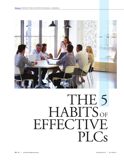

# THE 5 HABITS OF **EFFECTIVE** PLC<sub>s</sub>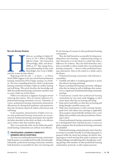#### **By Lois Brown Easton**

abits are, according to Stephen R.<br>
Covey in *The 7 Habits of Highly*<br> *Effective People*, "the intersection<br>
of knowledge, skills, and desire"<br>
(2004, p. 47). They emerge from a<br>
deep understanding of what to do<br>
(knowled Covey in *The 7 Habits of Highly Effective People,* "the intersection of knowledge, skills, and desire" (2004, p. 47). They emerge from a deep understanding of what to do (knowledge), how to do it (skills), and why it must be done (desire).

Beginning with the why — or desire — as Simon Sinek (2009) suggests is the way school-based professional learning communities (PLCs) begin curating a set of habits. The most compelling desires for which a professional learning community develops a habit are student learning and well-being. This article describes the knowledge and skills that professional learning community members need to create a habit out of their desire.

Habits serve educators as signposts of progress toward achieving their desires. They are interim indicators of a professional learning community's success. Ultimately, of course, professional learning communities demonstrate effectiveness by sharing both qualitative and quantitative data that document improved student achievement and well-being.

In the meantime, demonstration of habits serves notice that professional learning communities are successoriented. Professional learning communities that manifest the habits described in this article are likely to be effective and to achieve what their members desire.

Here, in no particular order, are five habits that professional learning communities can cultivate to be effective.

## 1 **PROFESSIONAL LEARNING COMMUNITY MEMBERS ARE ACCOUNTABLE.**

The most successful professional learning communities hold themselves accountable both formally and informally. Informally, professional learning community members hold themselves accountable for their own learning and for the learning of everyone in their professional learning communities.

They also hold themselves accountable for doing something about their learning — implementing changes in their classrooms or in the school as a whole that make a difference for students. They also hold themselves similarly accountable to others outside their own professional learning community — those in other professional learning communities, those in the school as a whole, and in the district.

Professional learning communities with informal accountability:

- Establish and adhere to working agreements or norms that advance learning and doing;
- Report to professional learning community colleagues what they are doing (as well as challenges they encounter) as a regular part of professional learning community meetings;
- Communicate outside their professional learning communities by voice mail, email, blogging, or other means about what they are learning and doing;
- Keep track of and reflect on what they are learning and doing through a portfolio system; and
- Make short presentations at other meetings (faculty, grade-level, and subject-area meetings as applicable) about progress and periodically (perhaps twice a year) display their portfolios and make presentations of learning to others.

Formal professional learning community accountability is distinguished from informal because it centers on goals or purposes that the professional learning community has identified.

Professional learning communities give notice that they are being accountable formally by broadcasting goals or purposes within the school and, perhaps, the district; sharing progress toward meeting those goals or purposes; and sharing challenges and addressing them through peer coaching (perhaps with members of other professional learning communities), protocols, or other inquiry processes.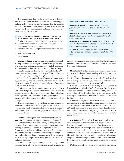They demonstrate that they have met goals with data, student work, test scores, interview or survey results, teaching plans and materials, or other concrete indicators. They invite others into their classrooms to see the results of their work. They write reports, which they publish locally or broadly, and make presentations about their results.

# 2 **PROFESSIONAL LEARNING COMMUNITY MEMBERS MAKE EFFECTIVE USE OF IMPORTANT SKILL SETS.**

Professional learning communities that have acquired and use these four skill sets are more likely to be successful:

- Understand the change process;
- Facilitate learning and implement changes based on learning;
- Share leadership; and
- Use dialogue.

**Understand the change process.** Successful professional learning communities make part of their learning the study of a variety of change processes, and they regularly refer to at least one model as they learn and implement their learning.

Popular change models include: Hall and Hord's (2001) Concerns-Based Adoption Model; Rogers' (1962) diffusion of innovations; Bridges' (2009) three-phases model; Tuckman's (1965) model of how groups change (forming, storming, norming, performing); and Ambrose's (1996) model describing the essential elements of change and how the absence of any one of them can thwart change.

Professional learning communities can study any of these and other change models and adopt the one that makes the most sense to them in terms of explaining what professional learning community members are going through and — if changes will affect others in a school — what they will go through.

The important thing for professional learning community members to understand is that change is not a smooth, straight road across a blank countryside. It is more likely to be curvy, with several U-turns, numerous potholes, and scores of environmental threats.

**Facilitate learning and implement changes based on learning.** Professional learning community members need the ability to facilitate their own learning and implement processes. One or more members — or the whole professional learning community — can learn and practice these skills. Among the subskills that facilitators need are: Organize the professional learning community for learning and doing; create a learning and doing agenda; use activities to open and close gatherings and process learning; give and get feedback; and reach consensus.

Professional learning community members can gain these skills in a variety of ways. Sometimes district staff members can

# **RESOURCES ON FACILITATION SKILLS**

**Danielson, C. (2009).** *Talk about teaching! Leading professional conversations.* Thousand Oaks, CA: Corwin Press.

**Delehant, A. (2007).** *Making meetings work: How to get started, get going, and get it done.* Thousand Oaks, CA: Corwin Press & NSDC.

**Garmston, R. & Wellman, B. (1999).** *The adaptive school: A sourcebook for developing collaborative groups.* Norwood, MA: Christopher-Gordon Publishers.

**Murphy, M. (2009).** *Tools & talk: Data, conversation, and action for classroom and school improvement.* Oxford, OH: NSDC.

provide training; otherwise, professional learning community members can study the art of facilitation online or read books (see resources list above).

**Share leadership.** Professional learning community members need to develop their understanding of shared or distributed leadership, especially if there are role differences among members. Members need to understand that each of them has at least one leadership asset (see Douglas Reeves' list of leadership assets, 2006) and can play any number of needed roles.

Charlotte Danielson makes a strong case for teachers as leaders in her 2006 book, *Teacher Leadership That Strengthens Professional Practice.* As Richard Elmore (2000) stated, "The roles and activities of leadership flow from the expertise for learning and improvement, not from the formal dictates of the institution" (p. 21).

It may be enough for a professional learning community to make shared or distributed leadership a topic for a meeting and use Reeves' list or other resources (see Easton, 2011, pp. 220-228). Principals who find it difficult to share leadership may need training or book study using a book such as Reeves' *The Learning Leader: How to Focus School Improvement for Better Results* (2006).

**Use dialogue.** The fourth skill set may very well be the most important. Without the skill of dialogue, professional learning communities may become dysfunctional. Absent this skill, people can interrupt each other, become fractious and competitive, break into factions, use sarcasm (disguised as humor) to level each other, engage in side conversations or birdwalks, disengage entirely, and monopolize the discussion. No professional learning community needs these distractions from learning and implementing important changes to benefit students.

Dialogue differs from conversation, discussion, and debate.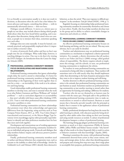It is as friendly as conversation usually is; it does not result in decisions, as discussions often do; and it has a fine balance between advocacy and inquiry, something that debate — with its automatically adversarial stances — does not have.

Dialogue sounds different. It moves at a slower pace as people try out ideas, may include silences during which people think about what they have heard before speaking, and is usually quieter than discussion, during which raised voices are common, as people try to interject their ideas, sometimes speaking over each other.

Dialogue does not come naturally. It must be learned, consciously practiced, and purposefully employed when it's important to surface everyone's ideas.

A variety of protocols (both online and face-to-face) ease people into the use of dialogue. What really helps, however, is watching dialogue in action. One way to do that is by viewing the DVD *Dialogue: An Introduction* from the Center for Adaptive Schools (2009).

## 3 **PROFESSIONAL LEARNING COMMUNITY MEMBERS FOCUS ON DEVELOPING AND MAINTAINING GOOD RELATIONSHIPS.**

Professional learning communities that ignore relationships simply delay the need to attend to relationships. It's better for professional learning community members to begin building relationships at the beginning of their work together than to wait for a crisis — an inevitability if the work is to be substantive and long-lasting.

Good relationships enable professional learning community members to develop trust, and trust is essential when the work is on what Robert Garmston and Bruce Wellman call "wicked problems" — such as curriculum alignment or accountability — that aren't solvable with linear cause-effect thinking (1999, p. 225). Trust is vital when professional learning communities encounter a problem or crisis.

Professional learning communities can foster relationships that promote trust when they acknowledge and appreciate differences from the beginning, using activities such as Four Compass Points (Easton, 2011, p. 109), True Colors (https:// truecolorsintl.com/resources), or the Meyers-Briggs Type Inventory (www.myersbriggs.org/my-mbti-personality-type/mbtibasics) to identify and value preferences members have for how they meet and work together.

Development and conscientious use of working agreements and norms help professional learning community members focus on individual and group needs. Protocols and dialogue that help members balance inquiry and advocacy preserve positive relationships.

Finally, professional learning community members need to surface and discuss behaviors that compromise trust, such as sarcasm or the inability to admit lack of knowledge. Articles by Goldsmith (n.d.) and Feltman (2001) identify these destructive

behaviors, as does the article "Plan your response to difficult participants" in the newsletter *Tools for Schools* (NSDC, 1998, p. 7).

Regularly focusing on relationships helps professional learning community members be trustworthy themselves and choose to trust others. Finally, this focus helps members develop trust in the group and its ability to achieve remarkable changes in classrooms and schools as a whole.

## 4 **PROFESSIONAL LEARNING COMMUNITY MEMBERS FOCUS ON AND CONNECT LEARNING AND DOING.**

An effective professional learning community focuses on both learning and doing, and the two are related. This may seem obvious, but it can easily be derailed.

Teachers and administrators may see professional learning communities as a mechanism to implement a district-sponsored initiative. For example, a district determines that all teachers need to use Fisher and Frey's (2008) strategy called gradual release of responsibility. The district requires schools to implement this strategy, and the schools, in turn, use professional learning communities to implement the reform.

Yet teachers in some professional learning communities are accustomed to being told what to implement. These teachers will sometimes wait to be told exactly what they should implement rather than determining on the basis of passion and purpose what they want to do to improve student learning and well-being.

Another deterrent to effective professional learning communities is the attitude that professional learning communities are just business as usual. Sometimes teachers see professional learning communities as just another meeting to attend rather than an opportunity for learning and making a difference for students.

Teachers who do not see themselves as learners may be content with the status quo. Principals add to this problem by usurping professional learning community time to make announcements or attend to school business. Business as usual means that a hierarchy prevails (usually with the principal as leader) that is counter to the egalitarian culture of professional learning communities.

Finally, professional *development* has long been the norm for adult learning in schools, with educators passively being developed by other adults rather than taking on their own learning and using outside resources as needed. A culture of professional development hampers a culture of professional learning.

The learning-doing gap plagues professional learning communities as much as it does corporations (Pfeffer & Sutton, 2000). Jeffrey Pfeffer and Robert Sutton wonder "why knowledge of what needs to be done frequently fails to result in action or behavior consistent with that knowledge" (Sparks, 2004).

Planning is sometimes the enemy, with professional learning communities deterred from action as they create visions, missions, and strategic plans. In fact, other than identifying passion and purpose and creating first-step-next-step, short-range plans to accomplish their purposes, professional learning communities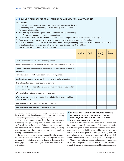#### **tool WHAT IS OUR PROFESSIONAL LEARNING COMMUNITY PASSIONATE ABOUT?**

### **DIRECTIONS:**

- Individually rate the degree to which you believe each statement to be true:
	- 1 = absolutely true,  $2$  = mostly true,  $3$  = rarely/partially true,  $4$  = untrue.
- Collect and tally individual scores.
- Have a dialogue about the highest scores (untrue and rarely/partially true).
- Identify concrete evidence that supports your ratings.
- Ask yourselves: Is this what we care most about? Is this what keeps us up at night? Is this what gives us pain?
- If your answer is yes, you may have discovered your professional learning community's passion.
- Then, consider what you need to do in your professional learning community about your passion. Your first actions may be as simple as get more concrete examples, interview students, or research this problem.
- Later, you will develop additional actions to take.

|                                                                                                          | 1<br>Absolutely<br>true | $\overline{2}$<br><b>Mostly</b><br>true | 3<br>Rarely/<br>partially<br>true | $\overline{4}$<br><b>Untrue</b> |
|----------------------------------------------------------------------------------------------------------|-------------------------|-----------------------------------------|-----------------------------------|---------------------------------|
| Students in my school are achieving their potential.                                                     |                         |                                         |                                   |                                 |
| Teachers in my school are satisfied with student achievement in the school.                              |                         |                                         |                                   |                                 |
| School and district administrators are satisfied with student achievement in<br>the school.              |                         |                                         |                                   |                                 |
| Parents are satisfied with student achievement in my school.                                             |                         |                                         |                                   |                                 |
| Students in my school are excited about going to school and learning.                                    |                         |                                         |                                   |                                 |
| The culture of my school is conducive to learning.                                                       |                         |                                         |                                   |                                 |
| In my school, the conditions for learning (e.g. use of time and resources) are<br>conducive to learning. |                         |                                         |                                   |                                 |
| We have little or nothing to improve in my school.                                                       |                         |                                         |                                   |                                 |
| What we do have to improve can be done by individual teachers working<br>alone in their classrooms.      |                         |                                         |                                   |                                 |
| Teachers feel efficacious and express job satisfaction.                                                  |                         |                                         |                                   |                                 |
| Teachers are resilient and resourceful in my school.                                                     |                         |                                         |                                   |                                 |

should leave visions, missions, and strategic plans to schools and districts, referencing them but not spending any time in creating them for the professional learning communities.

Learning without doing something about learning — implementing strategies to improve classrooms and schools satisfies only half of the equation. Doing something — such as implementing an outside reform — without learning is equally unsatisfactory. In the best professional learning communities, learning and doing are enmeshed.

To begin to make changes, professional learning community members will find that they need to engage in their own learning. They will discover what to do as they learn, and they will engage in additional learning as they discover the effects of their actions.

## 5 **PROFESSIONAL LEARNING COMMUNITY MEMBERS OPERATE ACCORDING TO A STRONG SENSE OF PURPOSE, DRIVEN BY THE PASSION THEY HAVE ABOUT ACHIEVING THAT PURPOSE.**

Professional learning communities need to be driven from inside and informed from the outside. This means that professional learning communities work according to passion (related to the desire that forces habits) about making substantive change (based on data, both qualitative and quantitative) that leads to development of purposes or goals, which align with their school's and district's mission, vision, goals, and strategic plan.

Working according to passion and purpose — rather than on an imposed goal or purpose, which may not relate to a strongly felt need within the professional learning community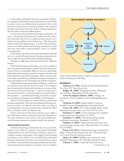— is what makes professional learning communities effective. For example, professional learning communities are more likely to achieve success on differentiated instruction if they work from their passion about reaching all students and a purpose related to that passion than from a district-imposed requirement that all teachers implement differentiation.

It is far better that professional learning communities address a commonly held goal that all students should achieve their potential than focus on implementing someone else's solution to the problem of nonachievement. This means that district boards and administrators, as well as school administrators, must allow professional learning communities to find their own work within a general mission, vision, set of goals, or strategic plan.

It also means that district and school administrators should not try to control what professional learning communities decide to make the focus of both their learning and doing.

The figure at right shows where the other interim indicators intersect.

Professional learning communities can work according to their own passion and purposes (within school and district priorities) if they are accountable. Skills sets and trust relationships help professional learning community members determine and orient themselves toward their purposes. All four of these indicators make it possible for professional learning communities to learn and implement their learning for the benefit of students.

Professional learning communities should have control over not only their focus but also how they work. If, according to data of various kinds, they decide that there are too many dropouts between 9th and 10th grade — and if it is important to the school and district to keep all students in school and have them graduate — a professional learning community can operate according to this passion and establish a related purpose.

Passion is the driving force behind effective professional learning communities. One way that professional learning community members can identify what they really care about is by sharing their worst fears and best hopes (Chadwick, 2002) about a situation, such as the dropout rate.

Passion comes from what keeps educators up at night as they think about school or what gives them pain. Responses to the survey statements in the tool on p. 28 can also help professional learning community members identify their passions.

#### **INDICATORS OF SUCCESS**

Professional learning communities that are accountable, employ various skill sets to operate, foster good relationships among members and with the larger community, operate according to passion and purpose, and engage in both learning and doing are more likely to be successful than professional learning communities that have not developed these actions into habits. And professional learning communities that demonstrate these interim indicators are likely to be successful in



terms of achieving the ultimate indicator of success: improved student learning and well-being.

#### **REFERENCES**

**Ambrose, D. (1996).** *Healing the downsized organization.* New York, NY: Three Rivers Press.

**Bridges, W. (2009).** *Managing transitions: Making the most of change.* Philadelphia, PA: Da Capo Press.

**Center for Adaptive Schools. (2009).** *Dialogue: An introduction.* DVD. Available at www.thinkingcollaborative. com.

**Chadwick, R. (2002).** *Beyond conflict to consensus.*  Available at http://managingwholes.com/chadwick.htm.

**Covey, S.R. (2004).** *The 7 habits of highly effective people: Restoring the character ethic.* New York, NY: Free Press.

**Danielson, C. (2006).** *Teacher leadership that strengthens professional practice.* Alexandria, VA: ASCD.

**Danielson, C. (2009).** *Talk about teaching! Leading professional conversations.* Alexandria, VA: ASCD.

**Delehant, A. (2007).** *Making meetings work: How to get started, get going, and get it done.* Thousand Oaks, CA: Corwin Press & NSDC.

**Easton, L.B. (2011).** *Professional learning communities by design: Putting the learning back into PLCs.* Thousand Oaks, CA: Corwin Press & Learning Forward.

**Elmore, R. (2000).** *Building a new structure for school leadership.* Washington, DC: The Albert Shanker Institute.

**Feltman, C. (2001).** *Leadership and the enemies of Continued on p. 34*